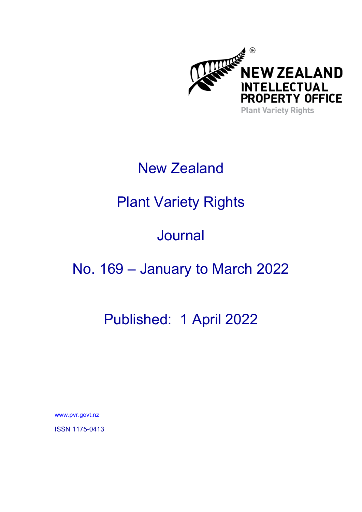

### New Zealand

# Plant Variety Rights

# Journal

### No. 169 – January to March 2022

# Published: 1 April 2022

[www.pvr.govt.nz](https://www.iponz.govt.nz/about-ip/pvr/) 

ISSN 1175-0413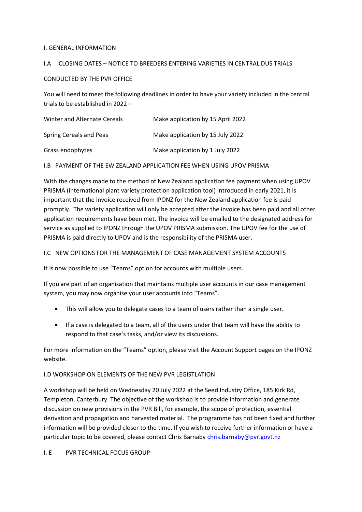#### I. GENERAL INFORMATION

#### I.A CLOSING DATES – NOTICE TO BREEDERS ENTERING VARIETIES IN CENTRAL DUS TRIALS

#### CONDUCTED BY THE PVR OFFICE

You will need to meet the following deadlines in order to have your variety included in the central trials to be established in 2022 –

| Winter and Alternate Cereals | Make application by 15 April 2022 |
|------------------------------|-----------------------------------|
| Spring Cereals and Peas      | Make application by 15 July 2022  |
| Grass endophytes             | Make application by 1 July 2022   |

I.B PAYMENT OF THE EW ZEALAND APPLICATION FEE WHEN USING UPOV PRISMA

With the changes made to the method of New Zealand application fee payment when using UPOV PRISMA (international plant variety protection application tool) introduced in early 2021, it is important that the invoice received from IPONZ for the New Zealand application fee is paid promptly. The variety application will only be accepted after the invoice has been paid and all other application requirements have been met. The invoice will be emailed to the designated address for service as supplied to IPONZ through the UPOV PRISMA submission. The UPOV fee for the use of PRISMA is paid directly to UPOV and is the responsibility of the PRISMA user.

#### I.C NEW OPTIONS FOR THE MANAGEMENT OF CASE MANAGEMENT SYSTEM ACCOUNTS

It is now possible to use "Teams" option for accounts with multiple users.

If you are part of an organisation that maintains multiple user accounts in our case management system, you may now organise your user accounts into "Teams".

- This will allow you to delegate cases to a team of users rather than a single user.
- If a case is delegated to a team, all of the users under that team will have the ability to respond to that case's tasks, and/or view its discussions.

For more information on the "Teams" option, please visit the Account Support pages on the IPONZ website.

### I.D WORKSHOP ON ELEMENTS OF THE NEW PVR LEGISTLATION

A workshop will be held on Wednesday 20 July 2022 at the Seed Industry Office, 185 Kirk Rd, Templeton, Canterbury. The objective of the workshop is to provide information and generate discussion on new provisions in the PVR Bill, for example, the scope of protection, essential derivation and propagation and harvested material. The programme has not been fixed and further information will be provided closer to the time. If you wish to receive further information or have a particular topic to be covered, please contact Chris Barnaby [chris.barnaby@pvr.govt.nz](mailto:chris.barnaby@pvr.govt.nz)

### I. E PVR TECHNICAL FOCUS GROUP